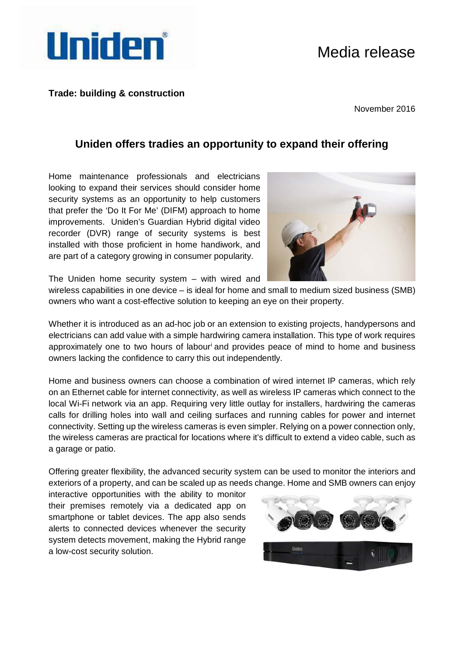# Media release



### **Trade: building & construction**

November 2016

## **Uniden offers tradies an opportunity to expand their offering**

Home maintenance professionals and electricians looking to expand their services should consider home security systems as an opportunity to help customers that prefer the 'Do It For Me' (DIFM) approach to home improvements. Uniden's Guardian Hybrid digital video recorder (DVR) range of security systems is best installed with those proficient in home handiwork, and are part of a category growing in consumer popularity.



The Uniden home security system – with wired and

wireless capabilities in one device – is ideal for home and small to medium sized business (SMB) owners who want a cost-effective solution to keeping an eye on their property.

Whether it is introduced as an ad-hoc job or an extension to existing projects, handypersons and electricians can add value with a simple hardwiring camera installation. This type of work requires approx[i](#page-1-0)mately one to two hours of labour<sup>i</sup> and provides peace of mind to home and business owners lacking the confidence to carry this out independently.

Home and business owners can choose a combination of wired internet IP cameras, which rely on an Ethernet cable for internet connectivity, as well as wireless IP cameras which connect to the local Wi-Fi network via an app. Requiring very little outlay for installers, hardwiring the cameras calls for drilling holes into wall and ceiling surfaces and running cables for power and internet connectivity. Setting up the wireless cameras is even simpler. Relying on a power connection only, the wireless cameras are practical for locations where it's difficult to extend a video cable, such as a garage or patio.

Offering greater flexibility, the advanced security system can be used to monitor the interiors and exteriors of a property, and can be scaled up as needs change. Home and SMB owners can enjoy

interactive opportunities with the ability to monitor their premises remotely via a dedicated app on smartphone or tablet devices. The app also sends alerts to connected devices whenever the security system detects movement, making the Hybrid range a low-cost security solution.